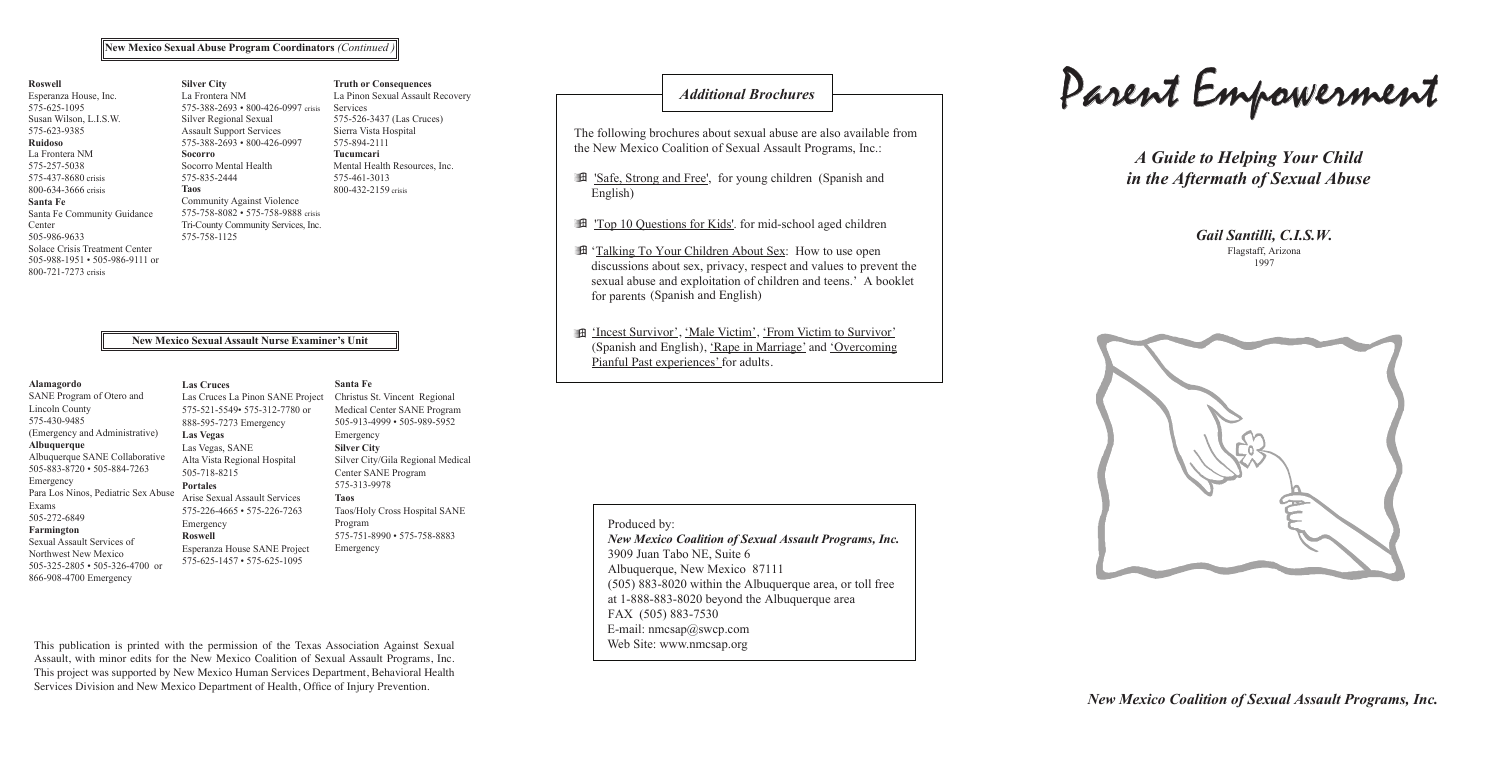#### **New Mexico Sexual Assault Nurse Examiner's Unit**

#### **Alamagordo**

SANE Program of Otero and Lincoln County 575-430-9485 (Emergency and Administrative) **Albuquerque** Albuquerque SANE Collaborative 505-883-8720 • 505-884-7263 Emergency Para Los Ninos, Pediatric Sex Abuse Exams 505-272-6849 **Farmington** Sexual Assault Services of Northwest New Mexico 505-325-2805 • 505-326-4700 or

866-908-4700 Emergency

**Las Cruces**

### Las Cruces La Pinon SANE Project

575-521-5549• 575-312-7780 or 888-595-7273 Emergency **Las Vegas** Las Vegas, SANE Alta Vista Regional Hospital 505-718-8215 **Portales** Arise Sexual Assault Services 575-226-4665 • 575-226-7263 Emergency **Roswell** Esperanza House SANE Project 575-625-1457 • 575-625-1095

*Gail Santilli, C.I.S.W. Gail Santilli, C.I.S.W.* Flagstaff, Arizona Flagstaff, Arizona 1997 1997 *Gail Santilli, C.I.S.W.*

**Santa Fe**

#### Christus St. Vincent Regional Medical Center SANE Program 505-913-4999 • 505-989-5952 Emergency **Silver City** Silver City/Gila Regional Medical Center SANE Program 575-313-9978 **Taos** Taos/Holy Cross Hospital SANE Program 575-751-8990 • 575-758-8883 Emergency

This publication is printed with the permission of the Texas Association Against Sexual Assault, with minor edits for the New Mexico Coalition of Sexual Assault Programs, Inc. This project was supported by New Mexico Human Services Department, Behavioral Health Services Division and New Mexico Department of Health, Office of Injury Prevention.

## *Additional Brochures*

*New Mexico Coalition of Sexual Assault Programs, Inc. New Mexico Coalition of Sexual Assault Programs, Inc.*

- Top 10 Questions for Kids' for mid-school aged children
- **Example 19 Your Children About Sex:** How to use open discussions about sex, privacy, respect and values to prevent the for parents (Spanish and English) discussions about sex, privacy, respect and values to prevent the sexual abuse and exploitation of children and teens.' A booklet for parents (Spanish and English)  $arcc<sub>2</sub>$ for parents (Spanish and English)  $\frac{1 \text{ a}}{2}$  is  $\frac{10 \text{ a}}{2}$  and  $\frac{10 \text{ a}}{2}$  and  $\frac{10 \text{ a}}{2}$  and  $\frac{10 \text{ a}}{2}$  books and the sexual text of contact  $\frac{1}{2}$  and  $\frac{1}{2}$  and  $\frac{1}{2}$  and  $\frac{1}{2}$  and  $\frac{1}{2}$  and  $\frac{1}{2}$  and  $\frac{1}{$
- film (Incest Survivor), 'Male Victim', 'From Victim to Survivor' (Spanish and English), 'Rape in Marriage' and 'Overcoming<br>Pianful Past experiences' for adults. á 'Incest Survivor', 'Male Victim', 'Male Victim', 'From Victim', 'From Victim', 'From Victim', 'From Victim',  $\mathbf{A}$  'Incest Survivor', 'Male Victim', 'From Victim', 'From Victim', 'From Victim', 'From Victim', 'From Victim', 'From Victim', 'From Victim', 'From Victim', 'From Victim', 'From Victim', 'From Victim', 'From Victim' Pianful Past experiences' for adults. Persons with Developmental Disabilities' and 'Overcoming

 $\mathcal{S}_\text{S}$  and  $\mathcal{S}_\text{S}$  and  $\mathcal{S}_\text{S}$  and  $\mathcal{S}_\text{S}$  are in Marriage',  $\mathcal{S}_\text{S}$ 

Produced by:  $\overline{5}$  and  $\overline{1}$  are a, or to toll free area, or toll free area, or to lead to the Albuquerque area, or toll free area, or to lead to the Albuquerque area, or to lead to the Albuquerque area, or to lead to the Albuqu

#### *A Guide to Helping Your Child A Guide to Helping Your Child Gail Santilli, C.I.S.W. Gail Santilli, C.I.S.W. in the Aftermath of Sexual Abuse in the Aftermath of Sexual Abuse* the Aftermath of Sexual Abuse *A Guide to Helping Your Child*

E-mail: nmcsaas@swcpcom

Parent Empowerment Parent Empowerment *Participal Employee Principal* Parent Empowerment *A Guide to Helping Your Child in the Aftermath of Sexual Abuse* arent Empowerment *A Guide to Helping Your Child in the Aftermath of Sexual Abuse*

for parents

the New Mexico Coalition of Sexual Assault Programs, Inc.: The following brochures about sexual abuse are also available from The following brochures about sexual abuse are also available from á 'Top 10 Questions for Kids'. for mid-school aged children á 'Top 10 Questions for Kids'. for mid-school aged children

English) "Bafe, Strong and Free', for young children (Spanish and  $\mathcal{L}$  'If  $\mathcal{L}$ 'If  $\mathcal{L}$ 'If  $\mathcal{L}$ 'If  $\mathcal{L}$ 'If  $\mathcal{L}$ 'If  $\mathcal{L}$ 'If  $\mathcal{L}$ 'If  $\mathcal{L}$ 'If  $\mathcal{L}$ 'If  $\mathcal{L}$ 'If  $\mathcal{L}$ 'If  $\mathcal{L}$ 'If  $\mathcal{L}$ 'If  $\mathcal{L}$ 'If  $\mathcal{L}$ 'If  $\mathcal{L}$ 'If  $\mathcal{L}$ 'If  $\mathcal$  $\text{English}$ ) English)

the New Mexico Coalition of Sexual Assault Programs, Inc.: Inc.: Inc.: Inc.: Inc.: Inc.: Inc.: Inc.: Inc.: Inc.: Inc.: Inc.: Inc.: Inc.: Inc.: Inc.: Inc.: Inc.: Inc.: Inc.: Inc.: Inc.: Inc.: Inc.: Inc.: Inc.: Inc.: Inc.: I

the New Mexico Coalition of Sexual Assault Programs, Inc.: Inc.: Inc.: Inc.: Inc.: Inc.: Inc.: Inc.: Inc.: Inc.: Inc.: Inc.: Inc.: Inc.: Inc.: Inc.: Inc.: Inc.: Inc.: Inc.: Inc.: Inc.: Inc.: Inc.: Inc.: Inc.: Inc.: Inc.: I

the New Mexico Coalition of Sexual Assault Programs, Inc.: Inc.: Inc.: Inc.: Inc.: Inc.: Inc.: Inc.: Inc.: Inc.

á 'Safe, Strong and Free, for young children (Spanish and Free, for young children (Spanish and Spanish and Sp

3909 Juan Tabo NE, Suite 6

Painful Past Experiences' for adults.

*Gail Santilli, C.I.S.W.*



E-mail: nmcsaas@swcpcom

New Mexico Coalition of Sexual Assault Programs, Inc. 3909 Juan Tabo NE, Suite 6 Albuquerque, New Mexico  $87111$  $(505)$  883-8020 within the Albuquerque area, or toll free at  $1-888-883-8020$  beyond the Albuquerque area  $FAX (505) 883-7530$  $FAA$  (505) 883-7550<br>E-mail: nmcsap@swcp.com Web Site: www.nmcsap.org Division, Dept. of Health, Santa Fe, NM. E-mail: nmcsap@swcp.com<br>W<sub>1.</sub> Ob Produced by:<br> $\frac{88}{8}$  $SOR$   $F$   $F$   $F$   $F$   $F$   $F$ 



for parents

English)

Albuquerque, New Mexico 87111

á 'Safe, Strong and Free', for young children (Spanish and

English)

#### **Roswell**

Esperanza House, Inc. 575-625-1095 Susan Wilson, L.I.S.W. 575-623-9385 **Ruidoso** La Frontera NM 575-257-5038 575-437-8680 crisis 800-634-3666 crisis **Santa Fe** Santa Fe Community Guidance Center 505-986-9633 Solace Crisis Treatment Center 505-988-1951 • 505-986-9111 or 800-721-7273 crisis

#### **Silver City** La Frontera NM 575-388-2693 • 800-426-0997 crisis Silver Regional Sexual Assault Support Services 575-388-2693 • 800-426-0997 **Socorro**

Socorro Mental Health 575-835-2444 **Taos** Community Against Violence

575-758-8082 • 575-758-9888 crisis Tri-County Community Services, Inc.

575-758-1125

**Truth or Consequences** La Pinon Sexual Assault Recovery

#### Services 575-526-3437 (Las Cruces) Sierra Vista Hospital 575-894-2111 **Tucumcari**

Mental Health Resources, Inc. 575-461-3013 800-432-2159 crisis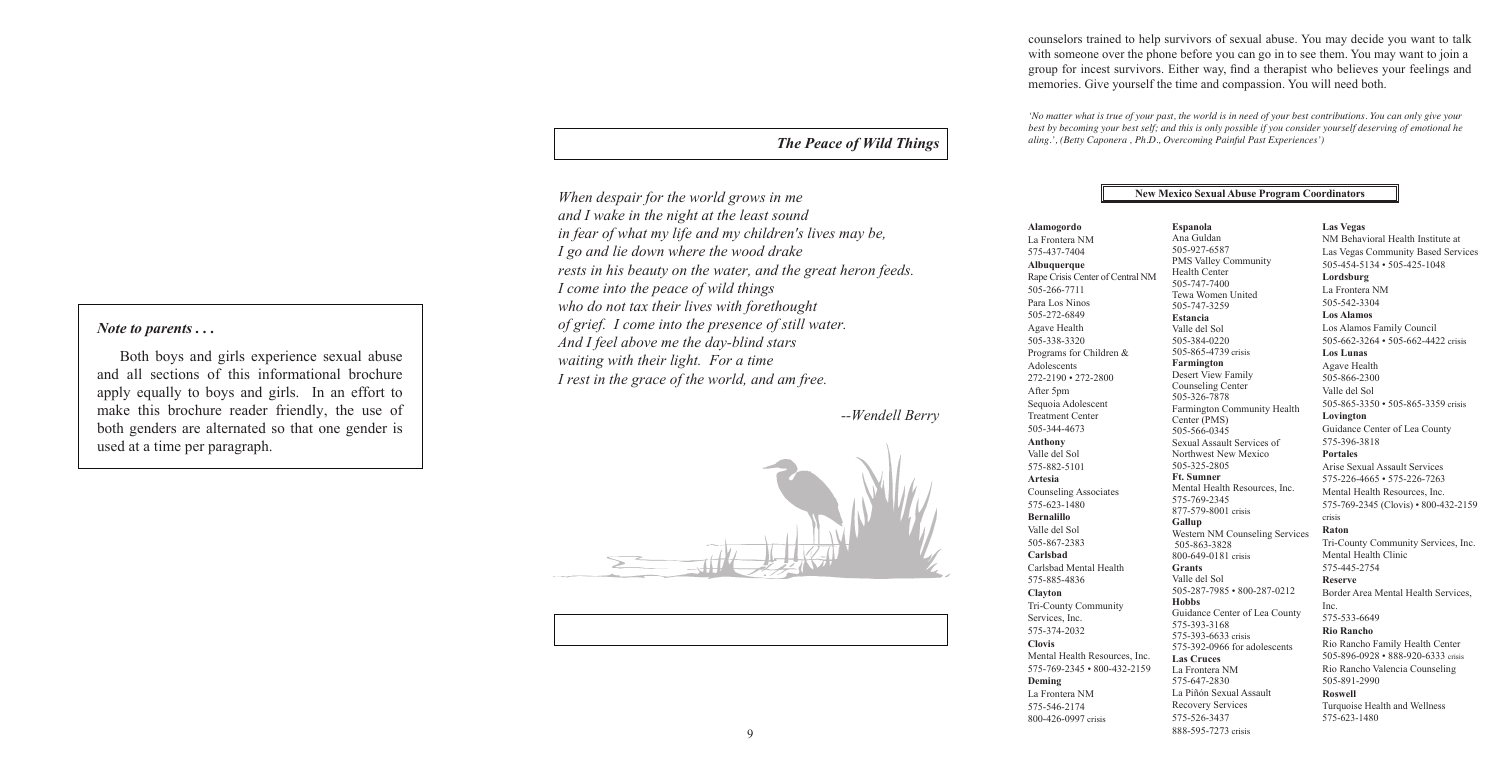counselors trained to help survivors of sexual abuse. You may decide you want to talk with someone over the phone before you can go in to see them. You may want to join a group for incest survivors. Either way, find a therapist who believes your feelings and memories. Give yourself the time and compassion. You will need both.

*'No matter what is true of your past, the world is in need of your best contributions. You can only give your best by becoming your best self; and this is only possible if you consider yourself deserving of emotional he aling.', (Betty Caponera , Ph.D., Overcoming Painful Past Experiences')*

#### **New Mexico Sexual Abuse Program Coordinators**

#### **Alamogordo** La Frontera NM 575-437-7404 **Albuquerque** 505-266-7711 Para Los Ninos 505-272-6849 Agave Health 505-338-3320 Adolescents 272-2190 • 272-2800 After 5pm Sequoia Adolescent Treatment Center 505-344-4673 **Anthony** Valle del Sol 575-882-5101 **Artesia** Counseling Associates 575-623-1480 **Bernalillo** Valle del Sol 505-867-2383 **Carlsbad** Carlsbad Mental Health 575-885-4836 **Clayton** Tri-County Community Services, Inc. 575-374-2032 **Clovis Deming**

575-546-2174 800-426-0997 crisis

### $\vert$  *Note to parents*  $\ldots$

Both boys and girls experience sexual abuse and all sections of this informational brochure and an sections of this informational orderate<br>apply equally to boys and girls. In an effort to make this brochure reader friendly, the use of both genders are alternated so that one gender is used at a time per paragraph. both boys and give experience sexual abuse  $\frac{1}{2}$  Both boys and girls

and all sections of this information of the section of the section of the section

apply to boys and given by the following to boys and given by  $\mathcal{L}_\mathcal{D}$ 

Rape Crisis Center of Central NM Programs for Children & Mental Health Resources, Inc. 575-769-2345 • 800-432-2159 La Frontera NM **Espanola** Ana Guldan 505-927-6587 PMS Valley Community Health Center 505-747-7400 Tewa Women United 505-747-3259 **Estancia** Valle del Sol 505-384-0220 505-865-4739 crisis **Farmington** Desert View Family Counseling Center 505-326-7878 Farmington Community Health Center (PMS) 505-566-0345 Sexual Assault Services of Northwest New Mexico 505-325-2805 **Ft. Sumner** Mental Health Resources, Inc. 575-769-2345 877-579-8001 crisis **Gallup** Western NM Counseling Services 505-863-3828 800-649-0181 crisis **Grants** Valle del Sol 505-287-7985 • 800-287-0212 **Hobbs** Guidance Center of Lea County 575-393-3168 575-393-6633 crisis 575-392-0966 for adolescents **Las Cruces** La Frontera NM 575-647-2830 La Piñón Sexual Assault Recovery Services 575-526-3437 888-595-7273 crisis

*The Peace of Wild Things P<sub>g</sub>o and ite down where the wood drake*<br>*I go and ite down where the water, and the great heron feeds. I* come into the peace of wild things *i* come into the peace of maximizer into the presence of maximizer. *I I above the lines will go emoligin* of grief. I come into the presence of still water. *restriangleright.* The *interior included presence by start water*. *I'ma I feet above the the day bind stars*<br>waiting with their light. For a time which with their light. The with the super *of grief. I come into the presence of still water. I rest in the grace of the world, and am free. When despair for the world grows in me* and I wake in the night at the least sound *in fear of what my life and my children's lives may be, I* go and lie down where the wood drake

#### **Las Vegas**

NM Behavioral Health Institute at Las Vegas Community Based Services 505-454-5134 • 505-425-1048

**Lordsburg** La Frontera NM 505-542-3304

**Los Alamos** Los Alamos Family Council 505-662-3264 • 505-662-4422 crisis

**Los Lunas** Agave Health 505-866-2300 Valle del Sol 505-865-3350 • 505-865-3359 crisis **Lovington** Guidance Center of Lea County 575-396-3818 **Portales** Arise Sexual Assault Services 575-226-4665 • 575-226-7263 Mental Health Resources, Inc. 575-769-2345 (Clovis) • 800-432-2159 crisis

#### **Raton**

Tri-County Community Services, Inc. Mental Health Clinic 575-445-2754

#### **Reserve**

Border Area Mental Health Services, Inc. 575-533-6649

#### **Rio Rancho**

Rio Rancho Family Health Center 505-896-0928 • 888-920-6333 crisis Rio Rancho Valencia Counseling 505-891-2990

#### **Roswell**

Turquoise Health and Wellness 575-623-1480



### *The Peace of Wild Things*

*--Wendell Berry*

*The Peace of Wild Things*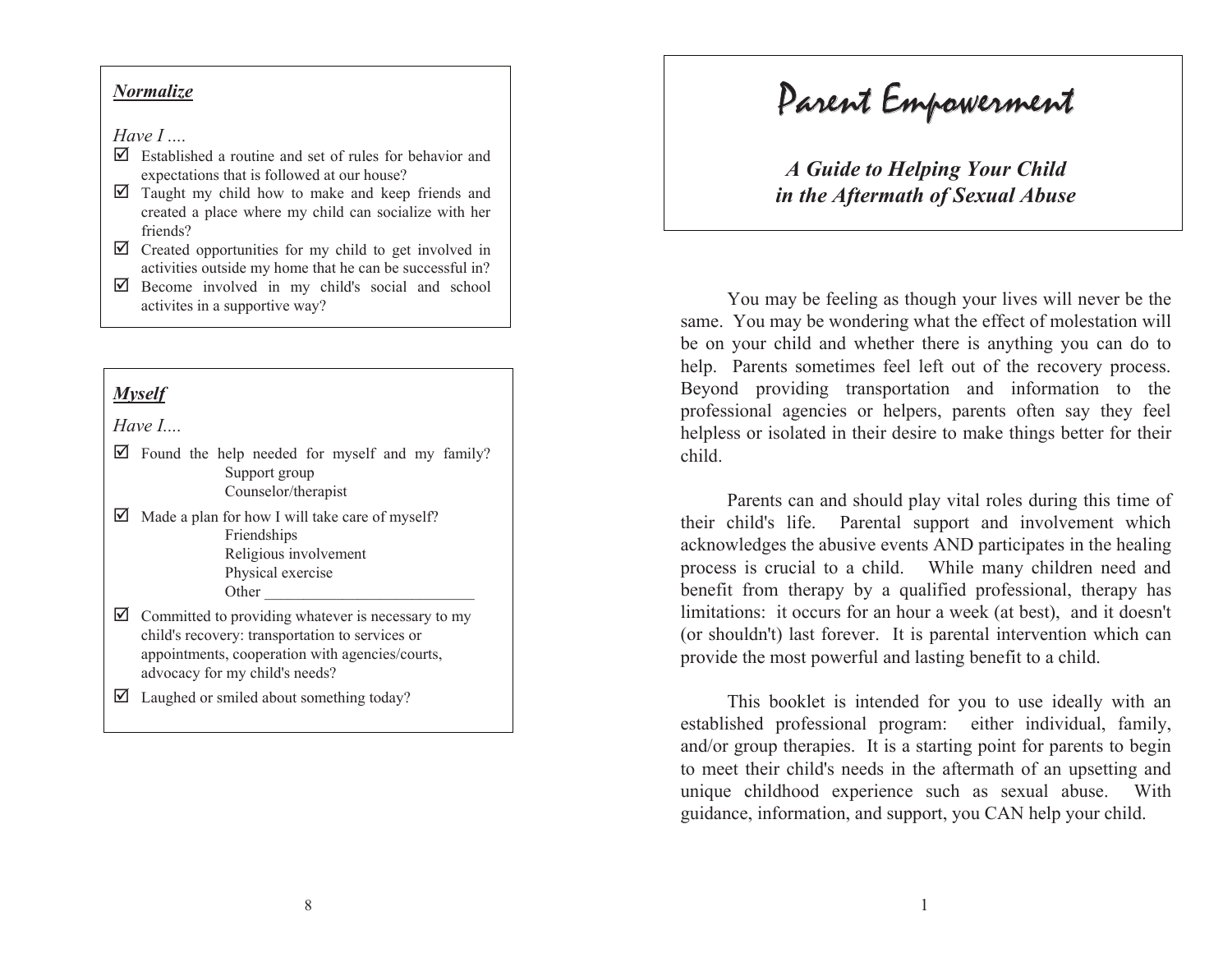### *Normalize Normalize*

*Have I .... Have I ....*

*Normalize*

- **Have I ...**<br> $\Box$  Established a routine and set of rules for behavior and expectations that is followed at our house?
- $\Box$  Taught my child how to make and keep friends and  $\Box$ created a place where my child can socialize with her created a place where my child can socialize with her friends? friends?
- $\Box$  Created opportunities for my child to get involved in  $\Box$ Created opportunities for my child to get involved in activities outside my home that he can be successful in?  $\frac{1}{2}$  activities outside my home that he can be successful in?  $\overline{r}$  cre
- $\Box$  Become involved in my child's social and school activites in a supportive way?

activites in a supportive way?

activites in a supportive way?

### *Myself Myself*

*Have I....* 

- $\Box$  Found the help needed for myself and my family?  $S$ upport group Counselor/therapist
- $\Box$  Made a plan for how I will take care of myself? Friendships Friendships Religious involvement Physical exercise Other \_\_\_\_\_\_\_\_\_\_\_\_\_\_\_\_\_\_\_\_\_\_\_\_\_\_\_ Physical exercise Other \_\_\_\_\_\_\_\_\_\_\_\_\_\_\_\_\_\_\_\_\_\_\_\_\_\_\_ Physical exercise  $\mathbf{F}$ rendships Friendships<br>Religious involvement Religion
- $\Box$  Committed to providing whatever is necessary to my child's recovery: transportation to services or appointments, cooperation with agencies/courts, advocacy for my child's needs?
- $\Box$  Laughed or smiled about something today?

; Laughed or smiled about something today?

#### Parent Empowerment Parent Empowerment Parent Empowerment Parent Empowerment

*A Guide to Helping Your Child A Guide to Helping Your Child in the Aftermath of Sexual Abuse* 

*in the Aftermath of Sexual Abuse*

*in the Aftermath of Sexual Abuse*

You may be feeling as though your lives will never be the You may be feeling as though your lives will never be the same. You may be wondering what the effect of molestation will be on your child and whether there is anything you can do to help. Parents sometimes feel left out of the recovery process. Beyond providing transportation and information to the professional agencies or helpers, parents often say they feel helpless or isolated in their desire to make things better for their child. child.  $\mathfrak{a}$ .  $\epsilon$ inings or isolated in the things better for the things better for the things better for the things between  $\epsilon$ 

rents can and should play vital roles during this time of their child's life. Parental support and involvement which acknowledges the abusive events AND participates in the healing process is crucial to a child. While many children need and benefit from therapy by a qualified professional, therapy has limitations: it occurs for an hour a week (at best), and it doesn't (or shouldn't) last forever. It is parental intervention which can provide the most powerful and lasting benefit to a child.  $\overline{c}$ Parents can and should play vital roles during this time of

is booklet is intended for you to use ideally with an established professional program: either individual, family, and/or group therapies. It is a starting point for parents to begin to meet their child's needs in the aftermath of an upsetting and unique childhood experience such as sexual abuse. With guidance, information, and support, you CAN help your child. provide the most powerful and lasting benefit to a child. This booklet is intended for you to use ideally with an provide the most powerful and lasting benefit to a child.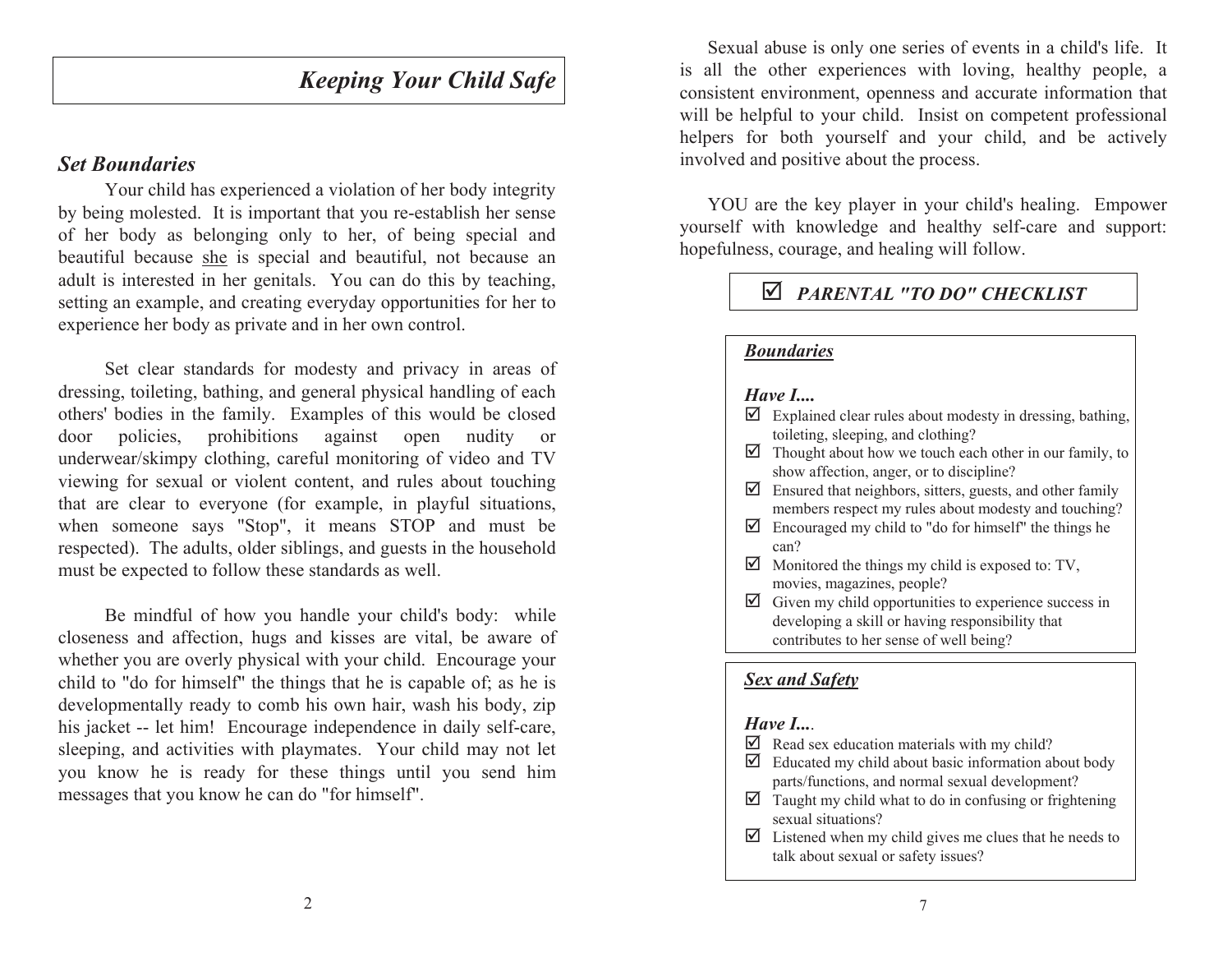#### *Keeping Your Child Safe Keeping Your Child Safe Keeping Your Child Safe Keeping Your Child Safe*

### *Set Boundaries*

Your child has experienced a violation of her body integrity by being molested. It is important that you re-establish her sense of her body as belonging only to her, of being special and beautiful because she is special and beautiful, not because an adult is interested in her genitals. You can do this by teaching, setting an example, and creating everyday opportunities for her to experience her body as private and in her own control.

experience her body as private and in her own control. experience her body as private and in her own control. dressing, toileting, bathing, and general physical handling of each others' bodies in the family. Examples of this would be closed door policies, prohibitions against open nudity or underwear/skimpy clothing, careful monitoring of video and TV viewing for sexual or violent content, and rules about touching that are clear to everyone (for example, in playful situations, when someone says "Stop", it means STOP and must be respected). The adults, older siblings, and guests in the household must be expected to follow these standards as well. Set clear standards for modesty and privacy in areas of

closeness and affection, hugs and kisses are vital, be aware of whether you are overly physical with your child. Encourage your child to "do for himself" the things that he is capable of; as he is developmentally ready to comb his own hair, wash his body, zip his jacket -- let him! Encourage independence in daily self-care, sleeping, and activities with playmates. Your child may not let you know he is ready for these things until you send him messages that you know he can do "for himself". must be expected to follow these standards as well. Be mindful of how you handle your child's body: while

Sexual abuse is only one series of events in a child's life. It is all the other experiences with loving, healthy people, a consistent environment, openness and accurate information that will be helpful to your child. Insist on competent professional helpers for both yourself and your child, and be actively involved and positive about the process. involved and positive about the process. involved and positive about the process.  $Y$  are the key player in  $Y$  are the key player in  $\mathcal{S}$  healing. Empower child

YOU are the key player in your child's healing. Empower yourself with knowledge and healthy self-care and support: hopefulness, courage, and healing will follow.

## ; *PARENTAL "TO DO" CHECKLIST* ; *PARENTAL "TO DO" CHECKLIST* ; *PARENTAL "TO DO" CHECKLIST*

### *Boundaries Boundaries Boundaries Have I....*

#### *Have I.... Have I.... Have I....*  $\mathbf{v}$  about  $\mathbf{I}$

- $\overline{\mathbf{z}}$  Explained clear rules about modesty in dressing, bathing, Explained cical fulles about modesty in dressing, bathing, toileting, sleeping, and clothing?
- $\triangledown$  Thought about how we touch each other in our family, to show affection, anger, or to discipline?
- $\triangleright$  Ensured that neighbors, sitters, guests, and other family Ensured that hetghoots, stitels, guests, and other failing members respect my rules about modesty and touching?
- $\triangledown$  Encouraged my child to "do for himself" the things he can? can?  $\boxtimes$  Encouraged my child to "do for himself" the things he can?
- $\boxtimes$  Monitored the things my child is exposed to: TV, momorca inclusions, magazines, people?
- $\Box$  Given my child opportunities to experience success in  $\Box$ developing a skill or having responsibility that contributes to her sense of well being?

### *Sex and Safety Sex and Safety Sex and Safety Have I....*

#### *Have I.... Have I.... Have I....*  $\mathbf{v}$  and  $\mathbf{v}$

- Read sex education materials with my child?
- $\overline{\mathbf{z}}$  Educated my child about basic information about body  $\overline{\mathbf{z}}$ parts/functions, and normal sexual development?
- $\boxtimes$  Taught my child what to do in confusing or frightening sexual situations? sexual situations? sexual situations?  $\boxed{\blacksquare}$  Taught my child what to do in confusing or frightening sexual situations?
- $\Box$  Listened when my child gives me clues that he needs to  $\Box$ talk about sexual or safety issues? talk about sexual or safety issues? talk about sexual or safety issues?

7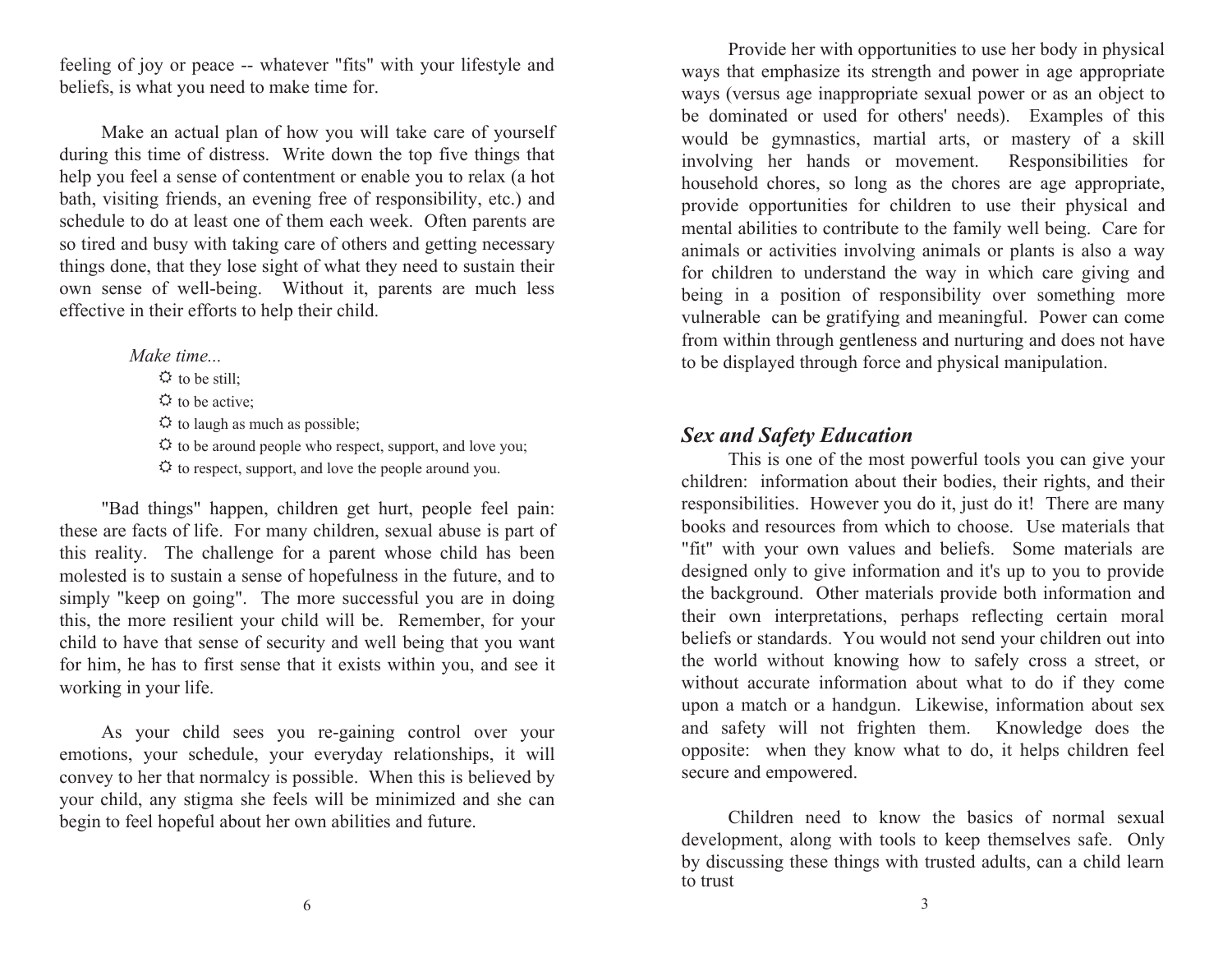feeling of joy or peace -- whatever "fits" with your lifestyle and beliefs, is what you need to make time for.  $\mathcal{L}$  is what you need to make time for. beliefs, is what you need to make time for.  $\sigma$  beliefs, is what you need to make three  $\sigma$ .

Make an actual plan of how you will take care of yourself during this time of distress. Write down the top five things that help you feel a sense of contentment or enable you to relax (a hot bath, visiting friends, an evening free of responsibility, etc.) and schedule to do at least one of them each week. Often parents are sened to do at least one of them each week. Onen parents are<br>so tired and busy with taking care of others and getting necessary things done, that they lose sight of what they need to sustain their own sense of well-being. Without it, parents are much less own sense of wen being. Without it, parents are much less<br>effective in their efforts to help their child. effective in their efforts to help their child. own sense of well-being. Without it, parents are much leffective in their efforts to help their child. effective in their efforts to help their child.

> *Make time... Make time...*<br> $\ddot{Q}$  to be still;  $\ddot{\mathbf{\Omega}}$  to be active;  $\leftrightarrow$  to be active;<br> $\leftrightarrow$  to laugh as much as possible;  $\ddot{\varphi}$  to laugh as much as possible,<br> $\ddot{\varphi}$  to be around people who respect, support, and love you;  $\ddot{\cdot}$  to be around people who respect, support, and love you,  $\ddot{\cdot}$  to respect, support, and love the people around you. 5 to respect, support, and love the people around you.  $\div$  to be around people who respect, support, and love you.  $\sim$  to respect, support, and love the people around  $\sim$

"Bad things" happen, children get hurt, people feel pain: these are facts of life. For many children, sexual abuse is part of this reality. The challenge for a parent whose child has been molested is to sustain a sense of hopefulness in the future, and to simply "keep on going". The more successful you are in doing this, the more resilient your child will be. Remember, for your child to have that sense of security and well being that you want for him, he has to first sense that it exists within you, and see it for him, he has to first sense that it exists within you, and see it working in your life. working in your life. working in your life. for him, he has to first sense that it exists within you, and see for him, he has to

"Bad things" happen, children get hurt, people feel pain:

As your child sees you re-gaining control over your emotions, your schedule, your everyday relationships, it will convey to her that normalcy is possible. When this is believed by your child, any stigma she feels will be minimized and she can your child, any stigma she feels will be minimized and she can<br>begin to feel hopeful about her own abilities and future. begin to feel hopeful about her own abilities and future. your child, any stigma she feels will be minimized and she can begin to feel hopeful about her own abilities and future.

Provide her with opportunities to use her body in physical ways that emphasize its strength and power in age appropriate ways that emphasize its strength and power in age appropriate<br>ways (versus age inappropriate sexual power or as an object to be dominated or used for others' needs). Examples of this would be gymnastics, martial arts, or mastery of a skill involving her hands or movement. Responsibilities for household chores, so long as the chores are age appropriate, provide opportunities for children to use their physical and mental abilities to contribute to the family well being. Care for animals or activities involving animals or plants is also a way for children to understand the way in which care giving and being in a position of responsibility over something more very something more values of the position of responsibility over something more from within through gentleness and nurturing and does not have from within through gentleness and nurturing and does not have be displayed through force and physical manipulation. to be displayed through force and physical manipulation. from within through gentieness and nurturing and does not have to be displayed through force and physical manipulation. to be displayed through force and physical manipulation.

# *Sex and Safety Education Sex and Safety Education Sex and Safety Education* This is one of the most powerful tools you can give your

**Sex and Safety Education**<br>This is one of the most powerful tools you can give your children: information about their bodies, their rights, and their responsibilities. However you do it, just do it! There are many books and resources from which to choose. Use materials that "fit" with your own values and beliefs. Some materials are designed only to give information and it's up to you to provide the background. Other materials provide both information and their own interpretations, perhaps reflecting certain moral beliefs or standards. You would not send your children out into the world without knowing how to safely cross a street, or without accurate information about what to do if they come upon a match or a handgun. Likewise, information about sex and safety will not frighten them. Knowledge does the a safety will not frighten them. Knowledge does the<br>posite: when they know what to do, it helps children feel cure and empowered.  $\frac{1}{2}$  and  $\frac{1}{2}$  know what to do, it helps children feel secure and empowered. and safety will not frighten them. Knowledge does the<br>opposite: when they know what to do, it helps children feel secure and empowered. secure and empowered. opposite: when they know what to do, it helps children feel opposite: when they k

Children need to know the basics of normal sexual development, along with tools to keep themselves safe. Only discussing these things with trusted adults, can a child learn by discussing these things with trusted adults, can a child learn by discussing these things with trusted adults, can a child learn by discussing these things with trusted adults, can a child learn<br>to trust to trust